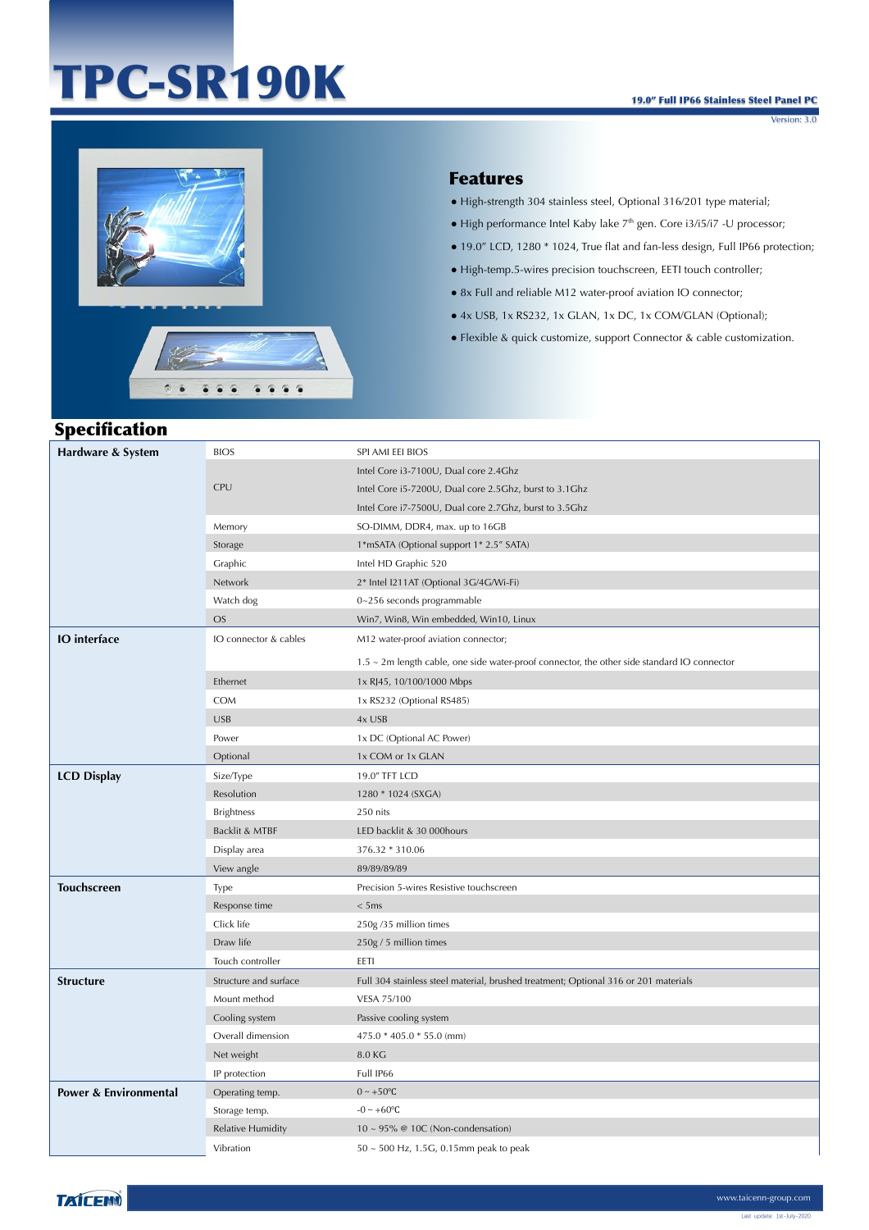# TPC-SR190K

Version: 3.0



 $5-6$ 

 $\bullet$   $\bullet$  $\bullet$   $-0.000$ 

#### Features

- High-strength 304 stainless steel, Optional 316/201 type material;
- High performance Intel Kaby lake 7<sup>th</sup> gen. Core i3/i5/i7 -U processor;
- 19.0" LCD, 1280 \* 1024, True flat and fan-less design, Full IP66 protection;
- High-temp.5-wires precision touchscreen, EETI touch controller;
- 8x Full and reliable M12 water-proof aviation IO connector;
- 4x USB, 1x RS232, 1x GLAN, 1x DC, 1x COM/GLAN (Optional);
- Flexible & quick customize, support Connector & cable customization.

# **Specification**

| Hardware & System     | <b>BIOS</b>              | SPI AMI EEI BIOS                                                                                  |
|-----------------------|--------------------------|---------------------------------------------------------------------------------------------------|
|                       |                          | Intel Core i3-7100U, Dual core 2.4Ghz                                                             |
|                       | <b>CPU</b>               | Intel Core i5-7200U, Dual core 2.5Ghz, burst to 3.1Ghz                                            |
|                       |                          | Intel Core i7-7500U, Dual core 2.7Ghz, burst to 3.5Ghz                                            |
|                       | Memory                   | SO-DIMM, DDR4, max. up to 16GB                                                                    |
|                       | Storage                  | 1*mSATA (Optional support 1* 2.5" SATA)                                                           |
|                       | Graphic                  | Intel HD Graphic 520                                                                              |
|                       | Network                  | 2* Intel I211AT (Optional 3G/4G/Wi-Fi)                                                            |
|                       | Watch dog                | 0~256 seconds programmable                                                                        |
|                       | <b>OS</b>                | Win7, Win8, Win embedded, Win10, Linux                                                            |
| <b>IO</b> interface   | IO connector & cables    | M12 water-proof aviation connector;                                                               |
|                       |                          | $1.5 \sim 2$ m length cable, one side water-proof connector, the other side standard IO connector |
|                       | Ethernet                 | 1x RJ45, 10/100/1000 Mbps                                                                         |
|                       | <b>COM</b>               | 1x RS232 (Optional RS485)                                                                         |
|                       | <b>USB</b>               | 4x USB                                                                                            |
|                       | Power                    | 1x DC (Optional AC Power)                                                                         |
|                       | Optional                 | 1x COM or 1x GLAN                                                                                 |
| <b>LCD Display</b>    | Size/Type                | 19.0" TFT LCD                                                                                     |
|                       | Resolution               | 1280 * 1024 (SXGA)                                                                                |
|                       | <b>Brightness</b>        | 250 nits                                                                                          |
|                       | Backlit & MTBF           | LED backlit & 30 000hours                                                                         |
|                       | Display area             | 376.32 * 310.06                                                                                   |
|                       | View angle               | 89/89/89/89                                                                                       |
| <b>Touchscreen</b>    | Type                     | Precision 5-wires Resistive touchscreen                                                           |
|                       | Response time            | < 5ms                                                                                             |
|                       | Click life               | 250g /35 million times                                                                            |
|                       | Draw life                | 250g / 5 million times                                                                            |
|                       | Touch controller         | EETI                                                                                              |
| <b>Structure</b>      | Structure and surface    | Full 304 stainless steel material, brushed treatment; Optional 316 or 201 materials               |
|                       | Mount method             | VESA 75/100                                                                                       |
|                       | Cooling system           | Passive cooling system                                                                            |
|                       | Overall dimension        | 475.0 * 405.0 * 55.0 (mm)                                                                         |
|                       | Net weight               | 8.0 KG                                                                                            |
|                       | IP protection            | Full IP66                                                                                         |
| Power & Environmental | Operating temp.          | $0 \sim +50$ °C                                                                                   |
|                       | Storage temp.            | $-0 \sim +60$ °C                                                                                  |
|                       | <b>Relative Humidity</b> | $10 \sim 95\%$ @ 10C (Non-condensation)                                                           |
|                       | Vibration                | 50 ~ 500 Hz, 1.5G, 0.15mm peak to peak                                                            |